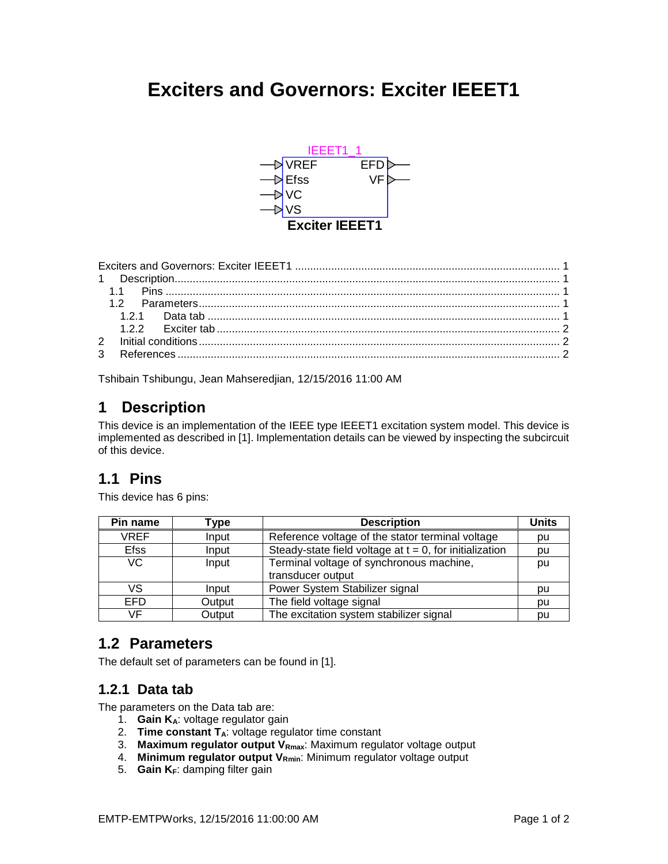# <span id="page-0-0"></span>**Exciters and Governors: Exciter IEEET1**



Tshibain Tshibungu, Jean Mahseredjian, 12/15/2016 11:00 AM

# <span id="page-0-1"></span>**1 Description**

This device is an implementation of the IEEE type IEEET1 excitation system model. This device is implemented as described i[n \[1\].](#page-1-3) Implementation details can be viewed by inspecting the subcircuit of this device.

# <span id="page-0-2"></span>**1.1 Pins**

This device has 6 pins:

| Pin name    | Type   | <b>Description</b>                                         | <b>Units</b> |
|-------------|--------|------------------------------------------------------------|--------------|
| <b>VREF</b> | Input  | Reference voltage of the stator terminal voltage           | pu           |
| <b>Efss</b> | Input  | Steady-state field voltage at $t = 0$ , for initialization | pu           |
| VC          | Input  | Terminal voltage of synchronous machine,                   | pu           |
|             |        | transducer output                                          |              |
| VS          | Input  | Power System Stabilizer signal                             | pu           |
| EFD         | Output | The field voltage signal                                   | pu           |
| VF          | Output | The excitation system stabilizer signal                    | pu           |

## <span id="page-0-3"></span>**1.2 Parameters**

<span id="page-0-4"></span>The default set of parameters can be found in [\[1\].](#page-1-3)

## **1.2.1 Data tab**

The parameters on the Data tab are:

- 1. **Gain KA**: voltage regulator gain
- 2. **Time constant TA**: voltage regulator time constant
- 3. **Maximum regulator output VRmax**: Maximum regulator voltage output
- 4. **Minimum regulator output VRmin**: Minimum regulator voltage output
- 5. **Gain KF**: damping filter gain